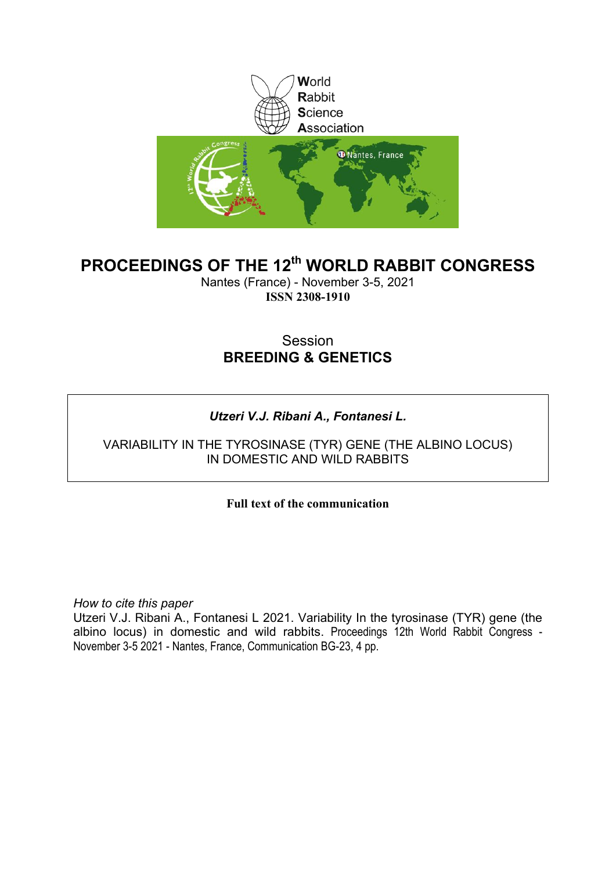

# **PROCEEDINGS OF THE 12th WORLD RABBIT CONGRESS**

Nantes (France) - November 3-5, 2021 **ISSN 2308-1910**

# Session **BREEDING & GENETICS**

# *Utzeri V.J. Ribani A., Fontanesi L.*

### VARIABILITY IN THE TYROSINASE (TYR) GENE (THE ALBINO LOCUS) IN DOMESTIC AND WILD RABBITS

## **Full text of the communication**

*How to cite this paper*

Utzeri V.J. Ribani A., Fontanesi L 2021. Variability In the tyrosinase (TYR) gene (the albino locus) in domestic and wild rabbits. Proceedings 12th World Rabbit Congress - November 3-5 2021 - Nantes, France, Communication BG-23, 4 pp.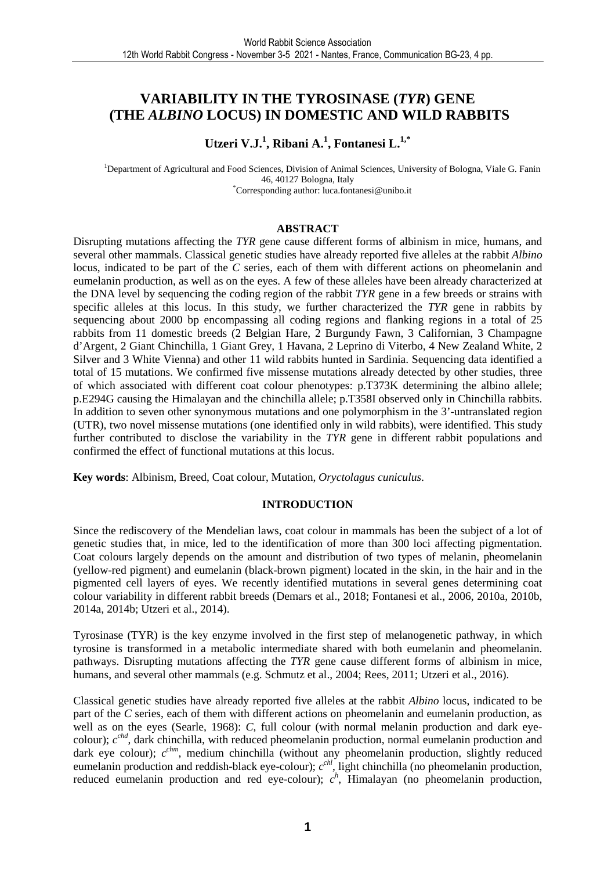# **VARIABILITY IN THE TYROSINASE (***TYR***) GENE (THE** *ALBINO* **LOCUS) IN DOMESTIC AND WILD RABBITS**

## **Utzeri V.J.<sup>1</sup> , Ribani A.<sup>1</sup> , Fontanesi L.1,\***

<sup>1</sup>Department of Agricultural and Food Sciences, Division of Animal Sciences, University of Bologna, Viale G. Fanin 46, 40127 Bologna, Italy \*Corresponding author: luca.fontanesi@unibo.it

#### **ABSTRACT**

Disrupting mutations affecting the *TYR* gene cause different forms of albinism in mice, humans, and several other mammals. Classical genetic studies have already reported five alleles at the rabbit *Albino* locus, indicated to be part of the *C* series, each of them with different actions on pheomelanin and eumelanin production, as well as on the eyes. A few of these alleles have been already characterized at the DNA level by sequencing the coding region of the rabbit *TYR* gene in a few breeds or strains with specific alleles at this locus. In this study, we further characterized the *TYR* gene in rabbits by sequencing about 2000 bp encompassing all coding regions and flanking regions in a total of 25 rabbits from 11 domestic breeds (2 Belgian Hare, 2 Burgundy Fawn, 3 Californian, 3 Champagne d'Argent, 2 Giant Chinchilla, 1 Giant Grey, 1 Havana, 2 Leprino di Viterbo, 4 New Zealand White, 2 Silver and 3 White Vienna) and other 11 wild rabbits hunted in Sardinia. Sequencing data identified a total of 15 mutations. We confirmed five missense mutations already detected by other studies, three of which associated with different coat colour phenotypes: p.T373K determining the albino allele; p.E294G causing the Himalayan and the chinchilla allele; p.T358I observed only in Chinchilla rabbits. In addition to seven other synonymous mutations and one polymorphism in the 3'-untranslated region (UTR), two novel missense mutations (one identified only in wild rabbits), were identified. This study further contributed to disclose the variability in the *TYR* gene in different rabbit populations and confirmed the effect of functional mutations at this locus.

**Key words**: Albinism, Breed, Coat colour, Mutation, *Oryctolagus cuniculus*.

#### **INTRODUCTION**

Since the rediscovery of the Mendelian laws, coat colour in mammals has been the subject of a lot of genetic studies that, in mice, led to the identification of more than 300 loci affecting pigmentation. Coat colours largely depends on the amount and distribution of two types of melanin, pheomelanin (yellow-red pigment) and eumelanin (black-brown pigment) located in the skin, in the hair and in the pigmented cell layers of eyes. We recently identified mutations in several genes determining coat colour variability in different rabbit breeds (Demars et al., 2018; Fontanesi et al., 2006, 2010a, 2010b, 2014a, 2014b; Utzeri et al., 2014).

Tyrosinase (TYR) is the key enzyme involved in the first step of melanogenetic pathway, in which tyrosine is transformed in a metabolic intermediate shared with both eumelanin and pheomelanin. pathways. Disrupting mutations affecting the *TYR* gene cause different forms of albinism in mice, humans, and several other mammals (e.g. Schmutz et al., 2004; Rees, 2011; Utzeri et al., 2016).

Classical genetic studies have already reported five alleles at the rabbit *Albino* locus, indicated to be part of the *C* series, each of them with different actions on pheomelanin and eumelanin production, as well as on the eyes (Searle, 1968): *C*, full colour (with normal melanin production and dark eyecolour);  $c^{chd}$ , dark chinchilla, with reduced pheomelanin production, normal eumelanin production and dark eye colour);  $c^{chm}$ , medium chinchilla (without any pheomelanin production, slightly reduced eumelanin production and reddish-black eye-colour);  $c^{ch}$ , light chinchilla (no pheomelanin production, reduced eumelanin production and red eye-colour);  $c<sup>h</sup>$ , Himalayan (no pheomelanin production,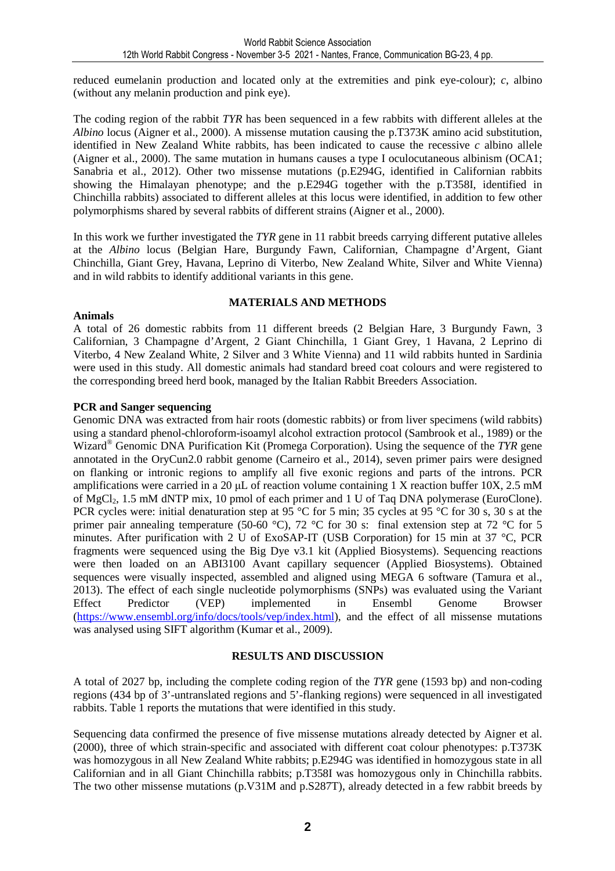reduced eumelanin production and located only at the extremities and pink eye-colour); *c*, albino (without any melanin production and pink eye).

The coding region of the rabbit *TYR* has been sequenced in a few rabbits with different alleles at the *Albino* locus (Aigner et al., 2000). A missense mutation causing the p.T373K amino acid substitution, identified in New Zealand White rabbits, has been indicated to cause the recessive *c* albino allele (Aigner et al., 2000). The same mutation in humans causes a type I oculocutaneous albinism (OCA1; Sanabria et al., 2012). Other two missense mutations (p.E294G, identified in Californian rabbits showing the Himalayan phenotype; and the p.E294G together with the p.T358I, identified in Chinchilla rabbits) associated to different alleles at this locus were identified, in addition to few other polymorphisms shared by several rabbits of different strains (Aigner et al., 2000).

In this work we further investigated the *TYR* gene in 11 rabbit breeds carrying different putative alleles at the *Albino* locus (Belgian Hare, Burgundy Fawn, Californian, Champagne d'Argent, Giant Chinchilla, Giant Grey, Havana, Leprino di Viterbo, New Zealand White, Silver and White Vienna) and in wild rabbits to identify additional variants in this gene.

#### **MATERIALS AND METHODS**

#### A total of 26 domestic rabbits from 11 different breeds (2 Belgian Hare, 3 Burgundy Fawn, 3 Californian, 3 Champagne d'Argent, 2 Giant Chinchilla, 1 Giant Grey, 1 Havana, 2 Leprino di Viterbo, 4 New Zealand White, 2 Silver and 3 White Vienna) and 11 wild rabbits hunted in Sardinia were used in this study. All domestic animals had standard breed coat colours and were registered to the corresponding breed herd book, managed by the Italian Rabbit Breeders Association.

#### **PCR and Sanger sequencing**

**Animals** 

Genomic DNA was extracted from hair roots (domestic rabbits) or from liver specimens (wild rabbits) using a standard phenol-chloroform-isoamyl alcohol extraction protocol (Sambrook et al., 1989) or the Wizard® Genomic DNA Purification Kit (Promega Corporation). Using the sequence of the *TYR* gene annotated in the OryCun2.0 rabbit genome (Carneiro et al., 2014), seven primer pairs were designed on flanking or intronic regions to amplify all five exonic regions and parts of the introns. PCR amplifications were carried in a 20  $\mu$ L of reaction volume containing 1 X reaction buffer 10X, 2.5 mM of MgCl<sub>2</sub>, 1.5 mM dNTP mix, 10 pmol of each primer and 1 U of Taq DNA polymerase (EuroClone). PCR cycles were: initial denaturation step at 95 °C for 5 min; 35 cycles at 95 °C for 30 s, 30 s at the primer pair annealing temperature (50-60 °C), 72 °C for 30 s: final extension step at 72 °C for 5 minutes. After purification with 2 U of ExoSAP-IT (USB Corporation) for 15 min at 37 °C, PCR fragments were sequenced using the Big Dye v3.1 kit (Applied Biosystems). Sequencing reactions were then loaded on an ABI3100 Avant capillary sequencer (Applied Biosystems). Obtained sequences were visually inspected, assembled and aligned using MEGA 6 software (Tamura et al., 2013). The effect of each single nucleotide polymorphisms (SNPs) was evaluated using the Variant Effect Predictor (VEP) implemented in Ensembl Genome Browser (https://www.ensembl.org/info/docs/tools/vep/index.html), and the effect of all missense mutations was analysed using SIFT algorithm (Kumar et al., 2009).

#### **RESULTS AND DISCUSSION**

A total of 2027 bp, including the complete coding region of the *TYR* gene (1593 bp) and non-coding regions (434 bp of 3'-untranslated regions and 5'-flanking regions) were sequenced in all investigated rabbits. Table 1 reports the mutations that were identified in this study.

Sequencing data confirmed the presence of five missense mutations already detected by Aigner et al. (2000), three of which strain-specific and associated with different coat colour phenotypes: p.T373K was homozygous in all New Zealand White rabbits; p.E294G was identified in homozygous state in all Californian and in all Giant Chinchilla rabbits; p.T358I was homozygous only in Chinchilla rabbits. The two other missense mutations (p.V31M and p.S287T), already detected in a few rabbit breeds by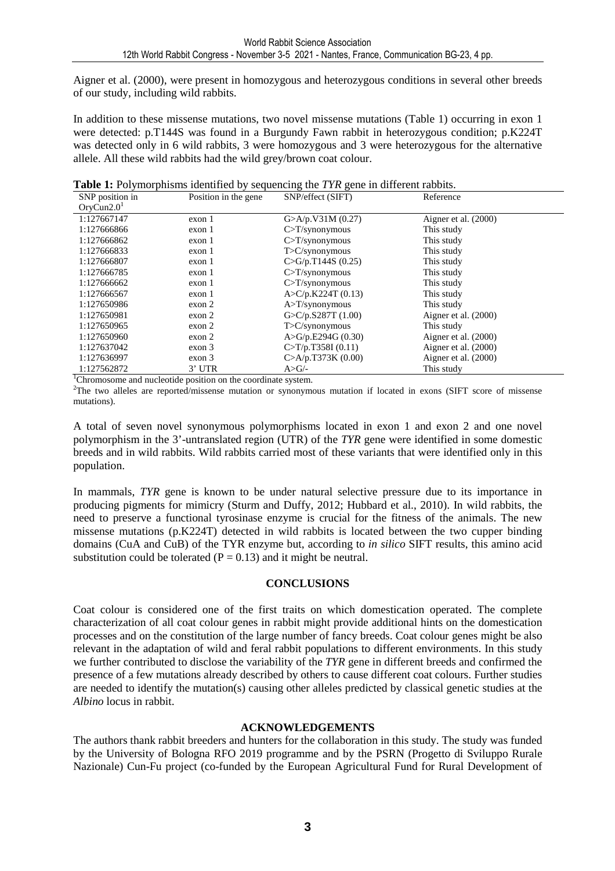Aigner et al. (2000), were present in homozygous and heterozygous conditions in several other breeds of our study, including wild rabbits.

In addition to these missense mutations, two novel missense mutations (Table 1) occurring in exon 1 were detected: p.T144S was found in a Burgundy Fawn rabbit in heterozygous condition; p.K224T was detected only in 6 wild rabbits, 3 were homozygous and 3 were heterozygous for the alternative allele. All these wild rabbits had the wild grey/brown coat colour.

|  |  |  |  |  |  |  |  | Table 1: Polymorphisms identified by sequencing the TYR gene in different rabbits. |
|--|--|--|--|--|--|--|--|------------------------------------------------------------------------------------|
|--|--|--|--|--|--|--|--|------------------------------------------------------------------------------------|

| SNP position in        | Position in the gene. | SNP/effect (SIFT)       | Reference              |
|------------------------|-----------------------|-------------------------|------------------------|
| OrvCun2.0 <sup>1</sup> |                       |                         |                        |
| 1:127667147            | exon 1                | G > A/p.V31M(0.27)      | Aigner et al. $(2000)$ |
| 1:127666866            | exon 1                | $C>T/s$ ynonymous       | This study             |
| 1:127666862            | exon 1                | $C>T/s$ ynonymous       | This study             |
| 1:127666833            | exon 1                | $T>C/s$ ynonymous       | This study             |
| 1:127666807            | exon 1                | $C > G/p$ .T144S (0.25) | This study             |
| 1:127666785            | exon 1                | $C>T/s$ ynonymous       | This study             |
| 1:127666662            | exon 1                | $C>T/s$ ynonymous       | This study             |
| 1:127666567            | exon 1                | A > C/p.K224T(0.13)     | This study             |
| 1:127650986            | exon 2                | $A > T$ /synonymous     | This study             |
| 1:127650981            | exon <sub>2</sub>     | G>C/p.S287T(1.00)       | Aigner et al. $(2000)$ |
| 1:127650965            | exon <sub>2</sub>     | $T>C/s$ ynonymous       | This study             |
| 1:127650960            | exon <sub>2</sub>     | A > G/p.E294G (0.30)    | Aigner et al. $(2000)$ |
| 1:127637042            | exon <sub>3</sub>     | C>T/p.T358I(0.11)       | Aigner et al. $(2000)$ |
| 1:127636997            | exon <sub>3</sub>     | C > A/p.T373K(0.00)     | Aigner et al. $(2000)$ |
| 1:127562872            | $3'$ UTR              | $A>G/-$                 | This study             |

<sup>1</sup>Chromosome and nucleotide position on the coordinate system.

<sup>2</sup>The two alleles are reported/missense mutation or synonymous mutation if located in exons (SIFT score of missense mutations).

A total of seven novel synonymous polymorphisms located in exon 1 and exon 2 and one novel polymorphism in the 3'-untranslated region (UTR) of the *TYR* gene were identified in some domestic breeds and in wild rabbits. Wild rabbits carried most of these variants that were identified only in this population.

In mammals, *TYR* gene is known to be under natural selective pressure due to its importance in producing pigments for mimicry (Sturm and Duffy, 2012; Hubbard et al., 2010). In wild rabbits, the need to preserve a functional tyrosinase enzyme is crucial for the fitness of the animals. The new missense mutations (p.K224T) detected in wild rabbits is located between the two cupper binding domains (CuA and CuB) of the TYR enzyme but, according to *in silico* SIFT results, this amino acid substitution could be tolerated ( $P = 0.13$ ) and it might be neutral.

#### **CONCLUSIONS**

Coat colour is considered one of the first traits on which domestication operated. The complete characterization of all coat colour genes in rabbit might provide additional hints on the domestication processes and on the constitution of the large number of fancy breeds. Coat colour genes might be also relevant in the adaptation of wild and feral rabbit populations to different environments. In this study we further contributed to disclose the variability of the *TYR* gene in different breeds and confirmed the presence of a few mutations already described by others to cause different coat colours. Further studies are needed to identify the mutation(s) causing other alleles predicted by classical genetic studies at the *Albino* locus in rabbit.

#### **ACKNOWLEDGEMENTS**

The authors thank rabbit breeders and hunters for the collaboration in this study. The study was funded by the University of Bologna RFO 2019 programme and by the PSRN (Progetto di Sviluppo Rurale Nazionale) Cun-Fu project (co-funded by the European Agricultural Fund for Rural Development of